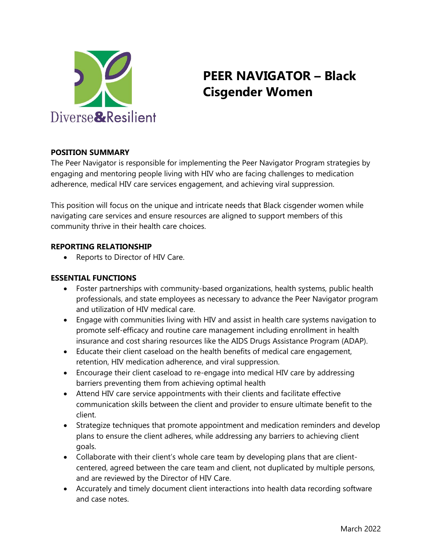

# **PEER NAVIGATOR – Black Cisgender Women**

### **POSITION SUMMARY**

The Peer Navigator is responsible for implementing the Peer Navigator Program strategies by engaging and mentoring people living with HIV who are facing challenges to medication adherence, medical HIV care services engagement, and achieving viral suppression.

This position will focus on the unique and intricate needs that Black cisgender women while navigating care services and ensure resources are aligned to support members of this community thrive in their health care choices.

#### **REPORTING RELATIONSHIP**

• Reports to Director of HIV Care.

#### **ESSENTIAL FUNCTIONS**

- Foster partnerships with community-based organizations, health systems, public health professionals, and state employees as necessary to advance the Peer Navigator program and utilization of HIV medical care.
- Engage with communities living with HIV and assist in health care systems navigation to promote self-efficacy and routine care management including enrollment in health insurance and cost sharing resources like the AIDS Drugs Assistance Program (ADAP).
- Educate their client caseload on the health benefits of medical care engagement, retention, HIV medication adherence, and viral suppression.
- Encourage their client caseload to re-engage into medical HIV care by addressing barriers preventing them from achieving optimal health
- Attend HIV care service appointments with their clients and facilitate effective communication skills between the client and provider to ensure ultimate benefit to the client.
- Strategize techniques that promote appointment and medication reminders and develop plans to ensure the client adheres, while addressing any barriers to achieving client goals.
- Collaborate with their client's whole care team by developing plans that are clientcentered, agreed between the care team and client, not duplicated by multiple persons, and are reviewed by the Director of HIV Care.
- Accurately and timely document client interactions into health data recording software and case notes.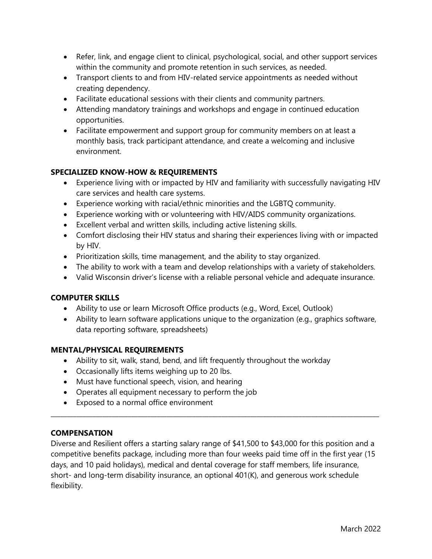- Refer, link, and engage client to clinical, psychological, social, and other support services within the community and promote retention in such services, as needed.
- Transport clients to and from HIV-related service appointments as needed without creating dependency.
- Facilitate educational sessions with their clients and community partners.
- Attending mandatory trainings and workshops and engage in continued education opportunities.
- Facilitate empowerment and support group for community members on at least a monthly basis, track participant attendance, and create a welcoming and inclusive environment.

# **SPECIALIZED KNOW-HOW & REQUIREMENTS**

- Experience living with or impacted by HIV and familiarity with successfully navigating HIV care services and health care systems.
- Experience working with racial/ethnic minorities and the LGBTQ community.
- Experience working with or volunteering with HIV/AIDS community organizations.
- Excellent verbal and written skills, including active listening skills.
- Comfort disclosing their HIV status and sharing their experiences living with or impacted by HIV.
- Prioritization skills, time management, and the ability to stay organized.
- The ability to work with a team and develop relationships with a variety of stakeholders.
- Valid Wisconsin driver's license with a reliable personal vehicle and adequate insurance.

### **COMPUTER SKILLS**

- Ability to use or learn Microsoft Office products (e.g., Word, Excel, Outlook)
- Ability to learn software applications unique to the organization (e.g., graphics software, data reporting software, spreadsheets)

### **MENTAL/PHYSICAL REQUIREMENTS**

- Ability to sit, walk, stand, bend, and lift frequently throughout the workday
- Occasionally lifts items weighing up to 20 lbs.
- Must have functional speech, vision, and hearing
- Operates all equipment necessary to perform the job
- Exposed to a normal office environment

### **COMPENSATION**

Diverse and Resilient offers a starting salary range of \$41,500 to \$43,000 for this position and a competitive benefits package, including more than four weeks paid time off in the first year (15 days, and 10 paid holidays), medical and dental coverage for staff members, life insurance, short- and long-term disability insurance, an optional 401(K), and generous work schedule flexibility.

 $\_$  ,  $\_$  ,  $\_$  ,  $\_$  ,  $\_$  ,  $\_$  ,  $\_$  ,  $\_$  ,  $\_$  ,  $\_$  ,  $\_$  ,  $\_$  ,  $\_$  ,  $\_$  ,  $\_$  ,  $\_$  ,  $\_$  ,  $\_$  ,  $\_$  ,  $\_$  ,  $\_$  ,  $\_$  ,  $\_$  ,  $\_$  ,  $\_$  ,  $\_$  ,  $\_$  ,  $\_$  ,  $\_$  ,  $\_$  ,  $\_$  ,  $\_$  ,  $\_$  ,  $\_$  ,  $\_$  ,  $\_$  ,  $\_$  ,